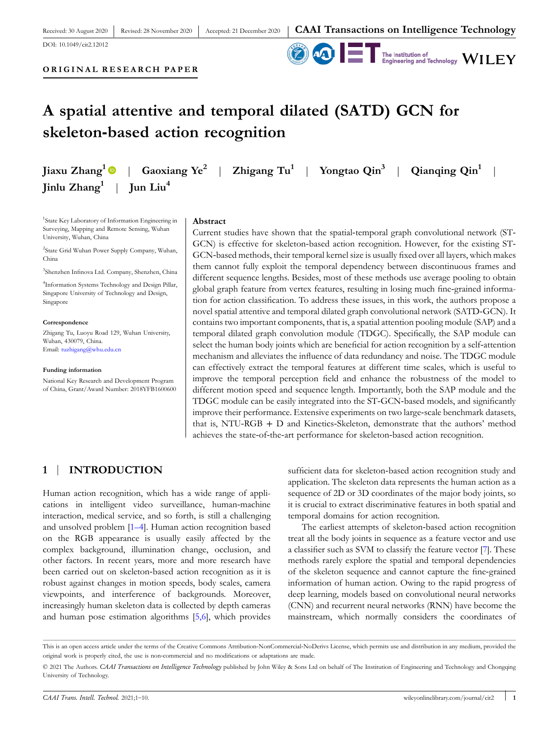Received: 30 August 2020 DOI: [10.1049/cit2.12012](https://doi.org/10.1049/cit2.12012)



# **ORIGINAL RESEARCH PAPER**

# **A spatial attentive and temporal dilated (SATD) GCN for skeleton‐based action recognition**

|                                                 | Jiaxu Zhang <sup>1</sup> $\bullet$   Gaoxiang Ye <sup>2</sup>   Zhigang Tu <sup>1</sup>   Yongtao Qin <sup>3</sup>   Qianqing Qin <sup>1</sup> |  |  |
|-------------------------------------------------|------------------------------------------------------------------------------------------------------------------------------------------------|--|--|
| Jinlu $\mathrm{Zhang}^1$   Jun Liu <sup>4</sup> |                                                                                                                                                |  |  |

<sup>1</sup>State Key Laboratory of Information Engineering in Surveying, Mapping and Remote Sensing, Wuhan University, Wuhan, China

2 State Grid Wuhan Power Supply Company, Wuhan, China

3 Shenzhen Infinova Ltd. Company, Shenzhen, China

4 Information Systems Technology and Design Pillar, Singapore University of Technology and Design, Singapore

#### **Correspondence**

Zhigang Tu, Luoyu Road 129, Wuhan University, Wuhan, 430079, China. Email: [tuzhigang@whu.edu.cn](mailto:tuzhigang@whu.edu.cn)

#### **Funding information**

National Key Research and Development Program of China, Grant/Award Number: 2018YFB1600600

#### **Abstract**

Current studies have shown that the spatial-temporal graph convolutional network (ST-GCN) is effective for skeleton-based action recognition. However, for the existing ST-GCN‐based methods, their temporal kernel size is usually fixed over all layers, which makes them cannot fully exploit the temporal dependency between discontinuous frames and different sequence lengths. Besides, most of these methods use average pooling to obtain global graph feature from vertex features, resulting in losing much fine‐grained information for action classification. To address these issues, in this work, the authors propose a novel spatial attentive and temporal dilated graph convolutional network (SATD‐GCN). It contains two important components, that is, a spatial attention pooling module (SAP) and a temporal dilated graph convolution module (TDGC). Specifically, the SAP module can select the human body joints which are beneficial for action recognition by a self-attention mechanism and alleviates the influence of data redundancy and noise. The TDGC module can effectively extract the temporal features at different time scales, which is useful to improve the temporal perception field and enhance the robustness of the model to different motion speed and sequence length. Importantly, both the SAP module and the TDGC module can be easily integrated into the ST‐GCN‐based models, and significantly improve their performance. Extensive experiments on two large-scale benchmark datasets, that is, NTU‐RGB + D and Kinetics‐Skeleton, demonstrate that the authors' method achieves the state‐of‐the‐art performance for skeleton‐based action recognition.

### **1** | **INTRODUCTION**

Human action recognition, which has a wide range of applications in intelligent video surveillance, human‐machine interaction, medical service, and so forth, is still a challenging and unsolved problem [[1–4](#page-8-0)]. Human action recognition based on the RGB appearance is usually easily affected by the complex background, illumination change, occlusion, and other factors. In recent years, more and more research have been carried out on skeleton‐based action recognition as it is robust against changes in motion speeds, body scales, camera viewpoints, and interference of backgrounds. Moreover, increasingly human skeleton data is collected by depth cameras and human pose estimation algorithms [[5,6](#page-8-0)], which provides

sufficient data for skeleton-based action recognition study and application. The skeleton data represents the human action as a sequence of 2D or 3D coordinates of the major body joints, so it is crucial to extract discriminative features in both spatial and temporal domains for action recognition.

The earliest attempts of skeleton‐based action recognition treat all the body joints in sequence as a feature vector and use a classifier such as SVM to classify the feature vector [\[7](#page-8-0)]. These methods rarely explore the spatial and temporal dependencies of the skeleton sequence and cannot capture the fine‐grained information of human action. Owing to the rapid progress of deep learning, models based on convolutional neural networks (CNN) and recurrent neural networks (RNN) have become the mainstream, which normally considers the coordinates of

This is an open access article under the terms of the Creative Commons Attribution-NonCommercial-NoDerivs License, which permits use and distribution in any medium, provided the original work is properly cited, the use is non‐commercial and no modifications or adaptations are made.

<sup>©</sup> 2021 The Authors. *CAAI Transactions on Intelligence Technology* published by John Wiley & Sons Ltd on behalf of The Institution of Engineering and Technology and Chongqing University of Technology.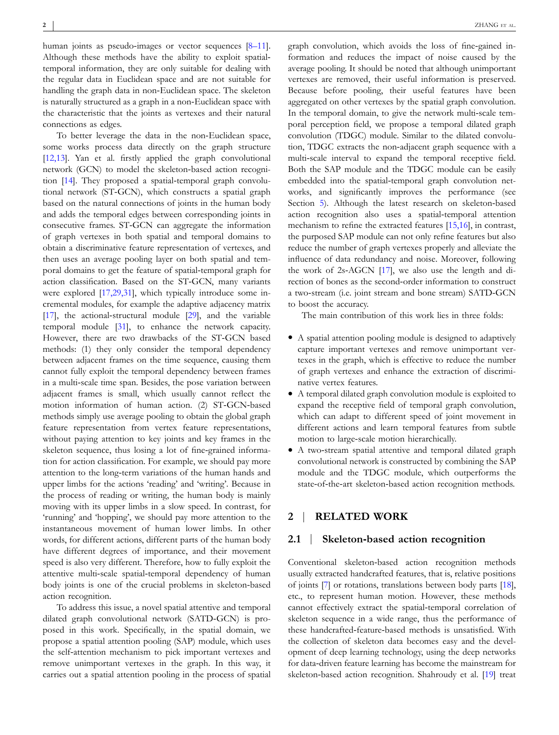human joints as pseudo-images or vector sequences [[8–11\]](#page-8-0). Although these methods have the ability to exploit spatial‐ temporal information, they are only suitable for dealing with the regular data in Euclidean space and are not suitable for handling the graph data in non-Euclidean space. The skeleton is naturally structured as a graph in a non‐Euclidean space with the characteristic that the joints as vertexes and their natural connections as edges.

To better leverage the data in the non‐Euclidean space, some works process data directly on the graph structure [\[12,13](#page-8-0)]. Yan et al. firstly applied the graph convolutional network (GCN) to model the skeleton‐based action recogni-tion [\[14\]](#page-8-0). They proposed a spatial-temporal graph convolutional network (ST‐GCN), which constructs a spatial graph based on the natural connections of joints in the human body and adds the temporal edges between corresponding joints in consecutive frames. ST‐GCN can aggregate the information of graph vertexes in both spatial and temporal domains to obtain a discriminative feature representation of vertexes, and then uses an average pooling layer on both spatial and temporal domains to get the feature of spatial‐temporal graph for action classification. Based on the ST‐GCN, many variants were explored [\[17,29,31\]](#page-8-0), which typically introduce some incremental modules, for example the adaptive adjacency matrix [\[17\]](#page-8-0), the actional-structural module [\[29\]](#page-9-0), and the variable temporal module [\[31\]](#page-9-0), to enhance the network capacity. However, there are two drawbacks of the ST‐GCN based methods: (1) they only consider the temporal dependency between adjacent frames on the time sequence, causing them cannot fully exploit the temporal dependency between frames in a multi‐scale time span. Besides, the pose variation between adjacent frames is small, which usually cannot reflect the motion information of human action. (2) ST‐GCN‐based methods simply use average pooling to obtain the global graph feature representation from vertex feature representations, without paying attention to key joints and key frames in the skeleton sequence, thus losing a lot of fine-grained information for action classification. For example, we should pay more attention to the long‐term variations of the human hands and upper limbs for the actions 'reading' and 'writing'. Because in the process of reading or writing, the human body is mainly moving with its upper limbs in a slow speed. In contrast, for 'running' and 'hopping', we should pay more attention to the instantaneous movement of human lower limbs. In other words, for different actions, different parts of the human body have different degrees of importance, and their movement speed is also very different. Therefore, how to fully exploit the attentive multi‐scale spatial‐temporal dependency of human body joints is one of the crucial problems in skeleton‐based action recognition.

To address this issue, a novel spatial attentive and temporal dilated graph convolutional network (SATD‐GCN) is proposed in this work. Specifically, in the spatial domain, we propose a spatial attention pooling (SAP) module, which uses the self‐attention mechanism to pick important vertexes and remove unimportant vertexes in the graph. In this way, it carries out a spatial attention pooling in the process of spatial graph convolution, which avoids the loss of fine‐gained information and reduces the impact of noise caused by the average pooling. It should be noted that although unimportant vertexes are removed, their useful information is preserved. Because before pooling, their useful features have been aggregated on other vertexes by the spatial graph convolution. In the temporal domain, to give the network multi-scale temporal perception field, we propose a temporal dilated graph convolution (TDGC) module. Similar to the dilated convolution, TDGC extracts the non‐adjacent graph sequence with a multi‐scale interval to expand the temporal receptive field. Both the SAP module and the TDGC module can be easily embedded into the spatial-temporal graph convolution networks, and significantly improves the performance (see Section [5](#page-5-0)). Although the latest research on skeleton-based action recognition also uses a spatial‐temporal attention mechanism to refine the extracted features [[15,16\]](#page-8-0), in contrast, the purposed SAP module can not only refine features but also reduce the number of graph vertexes properly and alleviate the influence of data redundancy and noise. Moreover, following the work of 2s‐AGCN [\[17\]](#page-8-0), we also use the length and direction of bones as the second‐order information to construct a two‐stream (i.e. joint stream and bone stream) SATD‐GCN to boost the accuracy.

The main contribution of this work lies in three folds:

- � A spatial attention pooling module is designed to adaptively capture important vertexes and remove unimportant vertexes in the graph, which is effective to reduce the number of graph vertexes and enhance the extraction of discriminative vertex features.
- � A temporal dilated graph convolution module is exploited to expand the receptive field of temporal graph convolution, which can adapt to different speed of joint movement in different actions and learn temporal features from subtle motion to large‐scale motion hierarchically.
- A two-stream spatial attentive and temporal dilated graph convolutional network is constructed by combining the SAP module and the TDGC module, which outperforms the state-of-the-art skeleton-based action recognition methods.

#### **2** | **RELATED WORK**

#### **2.1** | **Skeleton‐based action recognition**

Conventional skeleton‐based action recognition methods usually extracted handcrafted features, that is, relative positions of joints [\[7\]](#page-8-0) or rotations, translations between body parts [\[18\]](#page-8-0), etc., to represent human motion. However, these methods cannot effectively extract the spatial‐temporal correlation of skeleton sequence in a wide range, thus the performance of these handcrafted‐feature‐based methods is unsatisfied. With the collection of skeleton data becomes easy and the development of deep learning technology, using the deep networks for data‐driven feature learning has become the mainstream for skeleton-based action recognition. Shahroudy et al. [\[19\]](#page-8-0) treat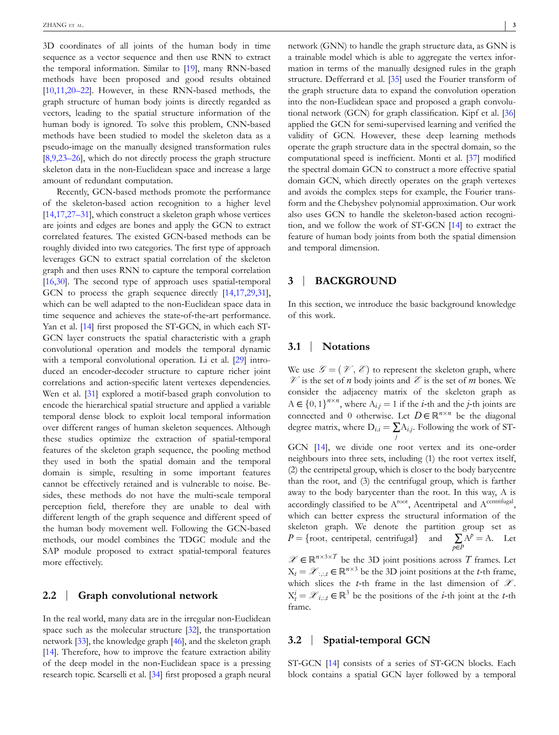3D coordinates of all joints of the human body in time sequence as a vector sequence and then use RNN to extract the temporal information. Similar to [\[19\]](#page-8-0), many RNN‐based methods have been proposed and good results obtained [\[10,11,20–22](#page-8-0)]. However, in these RNN‐based methods, the graph structure of human body joints is directly regarded as vectors, leading to the spatial structure information of the human body is ignored. To solve this problem, CNN‐based methods have been studied to model the skeleton data as a pseudo‐image on the manually designed transformation rules [\[8,9,23–26\]](#page-8-0), which do not directly process the graph structure skeleton data in the non‐Euclidean space and increase a large amount of redundant computation.

Recently, GCN‐based methods promote the performance of the skeleton‐based action recognition to a higher level [\[14,17,27–31](#page-8-0)], which construct a skeleton graph whose vertices are joints and edges are bones and apply the GCN to extract correlated features. The existed GCN‐based methods can be roughly divided into two categories. The first type of approach leverages GCN to extract spatial correlation of the skeleton graph and then uses RNN to capture the temporal correlation [\[16,30](#page-8-0)]. The second type of approach uses spatial-temporal GCN to process the graph sequence directly [[14,17,29,31\]](#page-8-0), which can be well adapted to the non-Euclidean space data in time sequence and achieves the state‐of‐the‐art performance. Yan et al. [\[14\]](#page-8-0) first proposed the ST-GCN, in which each ST-GCN layer constructs the spatial characteristic with a graph convolutional operation and models the temporal dynamic with a temporal convolutional operation. Li et al. [[29](#page-9-0)] introduced an encoder‐decoder structure to capture richer joint correlations and action‐specific latent vertexes dependencies. Wen et al. [[31](#page-9-0)] explored a motif-based graph convolution to encode the hierarchical spatial structure and applied a variable temporal dense block to exploit local temporal information over different ranges of human skeleton sequences. Although these studies optimize the extraction of spatial‐temporal features of the skeleton graph sequence, the pooling method they used in both the spatial domain and the temporal domain is simple, resulting in some important features cannot be effectively retained and is vulnerable to noise. Besides, these methods do not have the multi-scale temporal perception field, therefore they are unable to deal with different length of the graph sequence and different speed of the human body movement well. Following the GCN‐based methods, our model combines the TDGC module and the SAP module proposed to extract spatial-temporal features more effectively.

#### **2.2** | **Graph convolutional network**

In the real world, many data are in the irregular non‐Euclidean space such as the molecular structure [\[32\]](#page-9-0), the transportation network [\[33\]](#page-9-0), the knowledge graph [\[46\]](#page-9-0), and the skeleton graph [\[14\]](#page-8-0). Therefore, how to improve the feature extraction ability of the deep model in the non‐Euclidean space is a pressing research topic. Scarselli et al. [\[34\]](#page-9-0) first proposed a graph neural

network (GNN) to handle the graph structure data, as GNN is a trainable model which is able to aggregate the vertex information in terms of the manually designed rules in the graph structure. Defferrard et al. [\[35\]](#page-9-0) used the Fourier transform of the graph structure data to expand the convolution operation into the non‐Euclidean space and proposed a graph convolutional network (GCN) for graph classification. Kipf et al. [[36\]](#page-9-0) applied the GCN for semi‐supervised learning and verified the validity of GCN. However, these deep learning methods operate the graph structure data in the spectral domain, so the computational speed is inefficient. Monti et al. [\[37\]](#page-9-0) modified the spectral domain GCN to construct a more effective spatial domain GCN, which directly operates on the graph vertexes and avoids the complex steps for example, the Fourier transform and the Chebyshev polynomial approximation. Our work also uses GCN to handle the skeleton‐based action recognition, and we follow the work of ST‐GCN [[14](#page-8-0)] to extract the feature of human body joints from both the spatial dimension and temporal dimension.

#### **3** | **BACKGROUND**

In this section, we introduce the basic background knowledge of this work.

#### **3.1** | **Notations**

We use  $\mathcal{G} = (\mathcal{V}, \mathcal{E})$  to represent the skeleton graph, where  $\mathcal V$  is the set of *n* body joints and  $\mathcal E$  is the set of *m* bones. We consider the adjacency matrix of the skeleton graph as  $A \in \{0,1\}^{n \times n}$ , where  $A_{i,j} = 1$  if the *i*-th and the *j*-th joints are connected and 0 otherwise. Let  $D \in \mathbb{R}^{n \times n}$  be the diagonal degree matrix, where  $D_{i,i} = \sum A_{i,j}$ . Following the work of ST*j* GCN [\[14\]](#page-8-0), we divide one root vertex and its one‐order neighbours into three sets, including (1) the root vertex itself, (2) the centripetal group, which is closer to the body barycentre than the root, and (3) the centrifugal group, which is farther away to the body barycenter than the root. In this way, A is accordingly classified to be  $A<sup>root</sup>$ , Acentripetal and  $A<sup>centrifugal</sup>$ ,

which can better express the structural information of the skeleton graph. We denote the partition group set as  $P = \{ \text{root}, \text{ centripetal}, \text{ centrifugal} \}$  and *p*∈*P*  $A^p = A$ . Let

 $\mathscr{X} \in \mathbb{R}^{n \times 3 \times T}$  be the 3D joint positions across *T* frames. Let  $X_t = \mathcal{X}_{t,t} \in \mathbb{R}^{n \times 3}$  be the 3D joint positions at the *t*-th frame, which slices the *t*-th frame in the last dimension of  $\mathcal{X}$ .  $X_t^i = \mathcal{X}_{i,:t} \in \mathbb{R}^3$  be the positions of the *i*-th joint at the *t*-th frame.

#### **3.2** | **Spatial‐temporal GCN**

ST-GCN [[14](#page-8-0)] consists of a series of ST-GCN blocks. Each block contains a spatial GCN layer followed by a temporal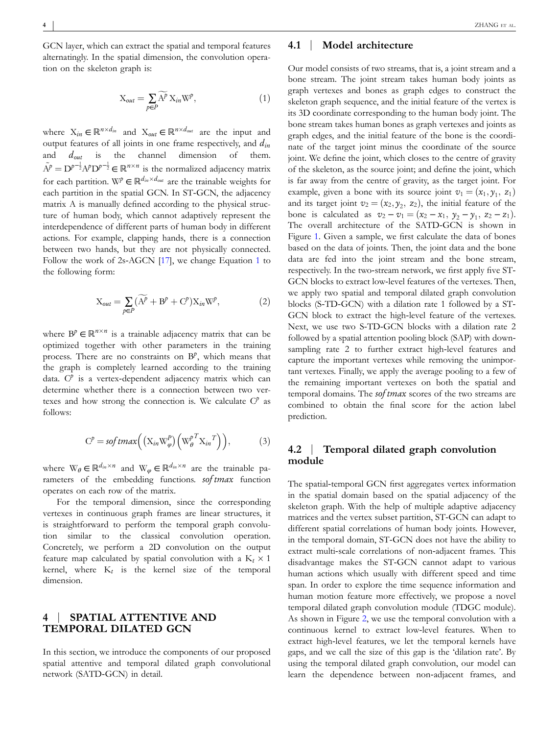<span id="page-3-0"></span>GCN layer, which can extract the spatial and temporal features alternatingly. In the spatial dimension, the convolution operation on the skeleton graph is:

$$
X_{out} = \sum_{p \in P} \widetilde{A}^p X_{in} W^p, \tag{1}
$$

where  $X_{in} \in \mathbb{R}^{n \times d_{in}}$  and  $X_{out} \in \mathbb{R}^{n \times d_{out}}$  are the input and output features of all joints in one frame respectively, and *din* and *dout* is the channel dimension of them.  $\tilde{A}^p = D^{p-\frac{1}{2}}A^p D^{p-\frac{1}{2}} \in \mathbb{R}^{n \times n}$  is the normalized adjacency matrix for each partition. W<sup>*p*</sup>  $\in \mathbb{R}^{d_{in} \times d_{out}}$  are the trainable weights for each partition in the spatial GCN. In ST‐GCN, the adjacency matrix A is manually defined according to the physical structure of human body, which cannot adaptively represent the interdependence of different parts of human body in different actions. For example, clapping hands, there is a connection between two hands, but they are not physically connected. Follow the work of 2s-AGCN [\[17\]](#page-8-0), we change Equation 1 to the following form:

$$
X_{out} = \sum_{p \in P} (\widetilde{A}^p + B^p + C^p) X_{in} W^p, \tag{2}
$$

where  $B^p \in \mathbb{R}^{n \times n}$  is a trainable adjacency matrix that can be optimized together with other parameters in the training process. There are no constraints on  $B^p$ , which means that the graph is completely learned according to the training data. C<sup>*p*</sup> is a vertex-dependent adjacency matrix which can determine whether there is a connection between two vertexes and how strong the connection is. We calculate C*<sup>p</sup>* as follows:

$$
C^{p} = \text{softmax}\left( (\mathbf{X}_{in} \mathbf{W}_{\varphi}^{p}) \left( \mathbf{W}_{\theta}^{p^{T}} \mathbf{X}_{in}^{T} \right) \right),\tag{3}
$$

where  $W_{\theta} \in \mathbb{R}^{d_{in} \times n}$  and  $W_{\varphi} \in \mathbb{R}^{d_{in} \times n}$  are the trainable parameters of the embedding functions. *sof tmax* function operates on each row of the matrix.

For the temporal dimension, since the corresponding vertexes in continuous graph frames are linear structures, it is straightforward to perform the temporal graph convolution similar to the classical convolution operation. Concretely, we perform a 2D convolution on the output feature map calculated by spatial convolution with a  $K_t \times 1$ kernel, where  $K_t$  is the kernel size of the temporal dimension.

#### **4** | **SPATIAL ATTENTIVE AND TEMPORAL DILATED GCN**

In this section, we introduce the components of our proposed spatial attentive and temporal dilated graph convolutional network (SATD‐GCN) in detail.

#### **4.1** | **Model architecture**

Our model consists of two streams, that is, a joint stream and a bone stream. The joint stream takes human body joints as graph vertexes and bones as graph edges to construct the skeleton graph sequence, and the initial feature of the vertex is its 3D coordinate corresponding to the human body joint. The bone stream takes human bones as graph vertexes and joints as graph edges, and the initial feature of the bone is the coordinate of the target joint minus the coordinate of the source joint. We define the joint, which closes to the centre of gravity of the skeleton, as the source joint; and define the joint, which is far away from the centre of gravity, as the target joint. For example, given a bone with its source joint  $v_1 = (x_1, y_1, z_1)$ and its target joint  $v_2 = (x_2, y_2, z_2)$ , the initial feature of the bone is calculated as  $v_2 - v_1 = (x_2 - x_1, y_2 - y_1, z_2 - z_1)$ . The overall architecture of the SATD‐GCN is shown in Figure [1.](#page-4-0) Given a sample, we first calculate the data of bones based on the data of joints. Then, the joint data and the bone data are fed into the joint stream and the bone stream, respectively. In the two-stream network, we first apply five ST-GCN blocks to extract low-level features of the vertexes. Then, we apply two spatial and temporal dilated graph convolution blocks (S‐TD‐GCN) with a dilation rate 1 followed by a ST‐ GCN block to extract the high-level feature of the vertexes. Next, we use two S‐TD‐GCN blocks with a dilation rate 2 followed by a spatial attention pooling block (SAP) with downsampling rate 2 to further extract high-level features and capture the important vertexes while removing the unimportant vertexes. Finally, we apply the average pooling to a few of the remaining important vertexes on both the spatial and temporal domains. The *sof tmax* scores of the two streams are combined to obtain the final score for the action label prediction.

#### **4.2** | **Temporal dilated graph convolution module**

The spatial-temporal GCN first aggregates vertex information in the spatial domain based on the spatial adjacency of the skeleton graph. With the help of multiple adaptive adjacency matrices and the vertex subset partition, ST‐GCN can adapt to different spatial correlations of human body joints. However, in the temporal domain, ST‐GCN does not have the ability to extract multi-scale correlations of non-adjacent frames. This disadvantage makes the ST‐GCN cannot adapt to various human actions which usually with different speed and time span. In order to explore the time sequence information and human motion feature more effectively, we propose a novel temporal dilated graph convolution module (TDGC module). As shown in Figure [2,](#page-4-0) we use the temporal convolution with a continuous kernel to extract low‐level features. When to extract high‐level features, we let the temporal kernels have gaps, and we call the size of this gap is the 'dilation rate'. By using the temporal dilated graph convolution, our model can learn the dependence between non‐adjacent frames, and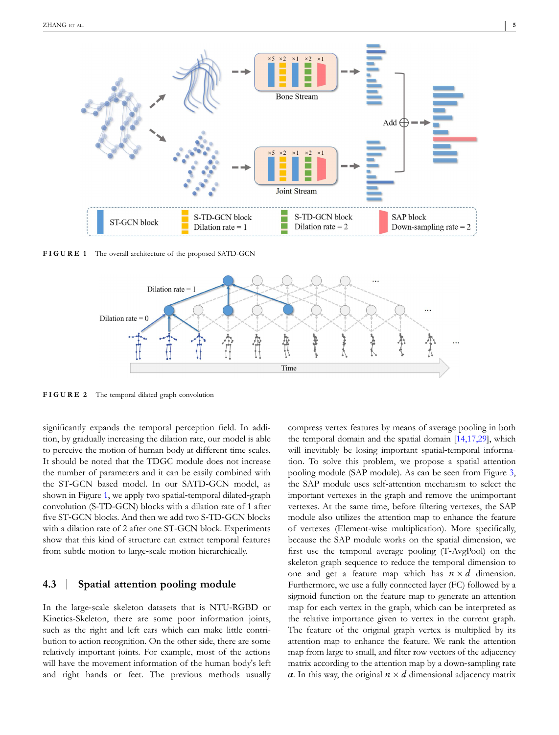<span id="page-4-0"></span>

**FIGURE 1** The overall architecture of the proposed SATD‐GCN



**FIGURE 2** The temporal dilated graph convolution

significantly expands the temporal perception field. In addition, by gradually increasing the dilation rate, our model is able to perceive the motion of human body at different time scales. It should be noted that the TDGC module does not increase the number of parameters and it can be easily combined with the ST‐GCN based model. In our SATD‐GCN model, as shown in Figure 1, we apply two spatial-temporal dilated-graph convolution (S‐TD‐GCN) blocks with a dilation rate of 1 after five ST‐GCN blocks. And then we add two S‐TD‐GCN blocks with a dilation rate of 2 after one ST-GCN block. Experiments show that this kind of structure can extract temporal features from subtle motion to large-scale motion hierarchically.

#### **4.3** | **Spatial attention pooling module**

In the large‐scale skeleton datasets that is NTU‐RGBD or Kinetics‐Skeleton, there are some poor information joints, such as the right and left ears which can make little contribution to action recognition. On the other side, there are some relatively important joints. For example, most of the actions will have the movement information of the human body's left and right hands or feet. The previous methods usually

compress vertex features by means of average pooling in both the temporal domain and the spatial domain [\[14,17,29\]](#page-8-0), which will inevitably be losing important spatial-temporal information. To solve this problem, we propose a spatial attention pooling module (SAP module). As can be seen from Figure [3](#page-5-0), the SAP module uses self‐attention mechanism to select the important vertexes in the graph and remove the unimportant vertexes. At the same time, before filtering vertexes, the SAP module also utilizes the attention map to enhance the feature of vertexes (Element‐wise multiplication). More specifically, because the SAP module works on the spatial dimension, we first use the temporal average pooling (T‐AvgPool) on the skeleton graph sequence to reduce the temporal dimension to one and get a feature map which has  $n \times d$  dimension. Furthermore, we use a fully connected layer (FC) followed by a sigmoid function on the feature map to generate an attention map for each vertex in the graph, which can be interpreted as the relative importance given to vertex in the current graph. The feature of the original graph vertex is multiplied by its attention map to enhance the feature. We rank the attention map from large to small, and filter row vectors of the adjacency matrix according to the attention map by a down‐sampling rate *α*. In this way, the original  $n \times d$  dimensional adjacency matrix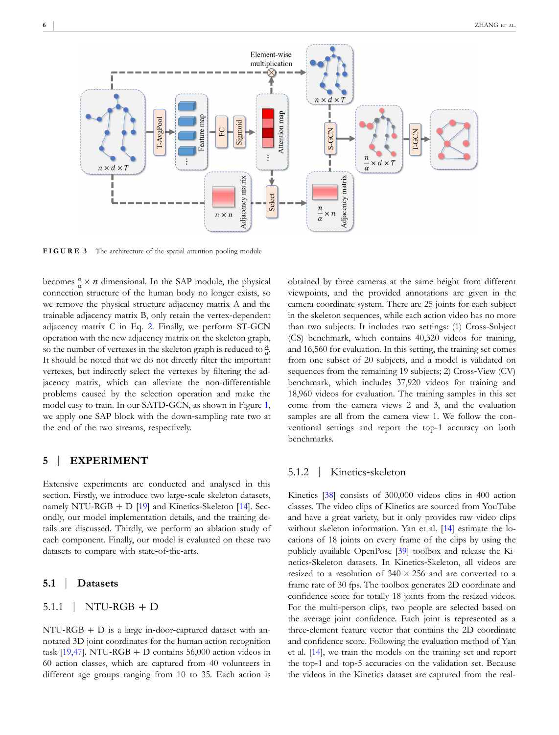<span id="page-5-0"></span>

**FIGURE 3** The architecture of the spatial attention pooling module

becomes  $\frac{n}{\alpha} \times n$  dimensional. In the SAP module, the physical connection structure of the human body no longer exists, so we remove the physical structure adjacency matrix A and the trainable adjacency matrix B, only retain the vertex‐dependent adjacency matrix C in Eq. [2](#page-3-0). Finally, we perform ST‐GCN operation with the new adjacency matrix on the skeleton graph, so the number of vertexes in the skeleton graph is reduced to *<sup>n</sup> α*. It should be noted that we do not directly filter the important vertexes, but indirectly select the vertexes by filtering the adjacency matrix, which can alleviate the non-differentiable problems caused by the selection operation and make the model easy to train. In our SATD‐GCN, as shown in Figure [1](#page-4-0), we apply one SAP block with the down‐sampling rate two at the end of the two streams, respectively.

#### **5** | **EXPERIMENT**

Extensive experiments are conducted and analysed in this section. Firstly, we introduce two large-scale skeleton datasets, namely NTU-RGB + D  $[19]$  $[19]$  and Kinetics-Skeleton  $[14]$  $[14]$  $[14]$ . Secondly, our model implementation details, and the training details are discussed. Thirdly, we perform an ablation study of each component. Finally, our model is evaluated on these two datasets to compare with state‐of‐the‐arts.

#### **5.1** | **Datasets**

#### $5.1.1$  | NTU-RGB + D

NTU-RGB + D is a large in-door-captured dataset with annotated 3D joint coordinates for the human action recognition task  $[19,47]$  $[19,47]$  $[19,47]$ . NTU-RGB + D contains 56,000 action videos in 60 action classes, which are captured from 40 volunteers in different age groups ranging from 10 to 35. Each action is

obtained by three cameras at the same height from different viewpoints, and the provided annotations are given in the camera coordinate system. There are 25 joints for each subject in the skeleton sequences, while each action video has no more than two subjects. It includes two settings: (1) Cross‐Subject (CS) benchmark, which contains 40,320 videos for training, and 16,560 for evaluation. In this setting, the training set comes from one subset of 20 subjects, and a model is validated on sequences from the remaining 19 subjects; 2) Cross-View (CV) benchmark, which includes 37,920 videos for training and 18,960 videos for evaluation. The training samples in this set come from the camera views 2 and 3, and the evaluation samples are all from the camera view 1. We follow the conventional settings and report the top‐1 accuracy on both benchmarks.

#### 5.1.2 | Kinetics‐skeleton

Kinetics [[38](#page-9-0)] consists of 300,000 videos clips in 400 action classes. The video clips of Kinetics are sourced from YouTube and have a great variety, but it only provides raw video clips without skeleton information. Yan et al. [\[14\]](#page-8-0) estimate the locations of 18 joints on every frame of the clips by using the publicly available OpenPose [[39](#page-9-0)] toolbox and release the Kinetics‐Skeleton datasets. In Kinetics‐Skeleton, all videos are resized to a resolution of  $340 \times 256$  and are converted to a frame rate of 30 fps. The toolbox generates 2D coordinate and confidence score for totally 18 joints from the resized videos. For the multi-person clips, two people are selected based on the average joint confidence. Each joint is represented as a three‐element feature vector that contains the 2D coordinate and confidence score. Following the evaluation method of Yan et al. [\[14](#page-8-0)], we train the models on the training set and report the top‐1 and top‐5 accuracies on the validation set. Because the videos in the Kinetics dataset are captured from the real‐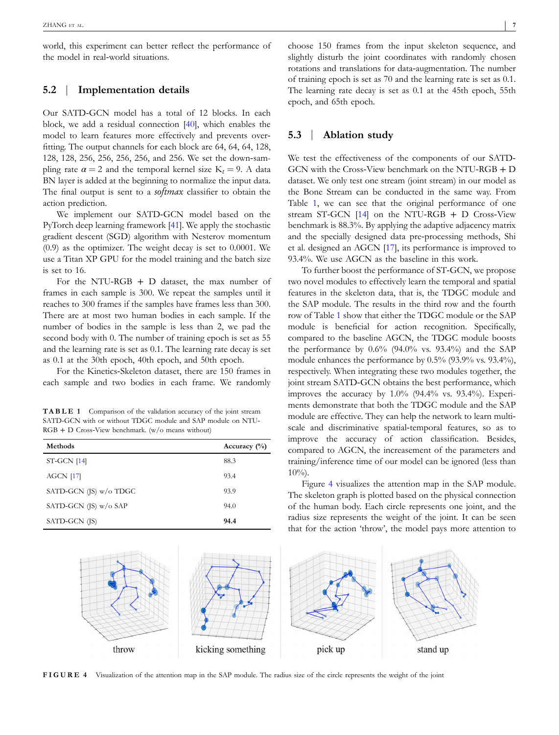world, this experiment can better reflect the performance of the model in real‐world situations.

### **5.2** | **Implementation details**

Our SATD‐GCN model has a total of 12 blocks. In each block, we add a residual connection [\[40](#page-9-0)], which enables the model to learn features more effectively and prevents overfitting. The output channels for each block are 64, 64, 64, 128, 128, 128, 256, 256, 256, 256, and 256. We set the down‐sampling rate  $\alpha = 2$  and the temporal kernel size  $K_t = 9$ . A data BN layer is added at the beginning to normalize the input data. The final output is sent to a *softmax* classifier to obtain the action prediction.

We implement our SATD‐GCN model based on the PyTorch deep learning framework [[41](#page-9-0)]. We apply the stochastic gradient descent (SGD) algorithm with Nesterov momentum (0.9) as the optimizer. The weight decay is set to 0.0001. We use a Titan XP GPU for the model training and the batch size is set to 16.

For the NTU-RGB  $+$  D dataset, the max number of frames in each sample is 300. We repeat the samples until it reaches to 300 frames if the samples have frames less than 300. There are at most two human bodies in each sample. If the number of bodies in the sample is less than 2, we pad the second body with 0. The number of training epoch is set as 55 and the learning rate is set as 0.1. The learning rate decay is set as 0.1 at the 30th epoch, 40th epoch, and 50th epoch.

For the Kinetics‐Skeleton dataset, there are 150 frames in each sample and two bodies in each frame. We randomly

**TABLE 1** Comparison of the validation accuracy of the joint stream SATD-GCN with or without TDGC module and SAP module on NTU-RGB + D Cross‐View benchmark. (w/o means without)

| <b>Methods</b>                   | Accuracy $(\% )$ |
|----------------------------------|------------------|
| $ST-GCN$ [14]                    | 88.3             |
| $AGCN$ [17]                      | 93.4             |
| SATD-GCN $($ IS $)$ w $/$ o TDGC | 93.9             |
| SATD-GCN $($ IS $)$ w $/$ o SAP  | 94.0             |
| SATD-GCN (JS)                    | 94.4             |

choose 150 frames from the input skeleton sequence, and slightly disturb the joint coordinates with randomly chosen rotations and translations for data‐augmentation. The number of training epoch is set as 70 and the learning rate is set as 0.1. The learning rate decay is set as 0.1 at the 45th epoch, 55th epoch, and 65th epoch.

#### **5.3** | **Ablation study**

We test the effectiveness of the components of our SATD‐ GCN with the Cross‐View benchmark on the NTU‐RGB + D dataset. We only test one stream (joint stream) in our model as the Bone Stream can be conducted in the same way. From Table 1, we can see that the original performance of one stream ST-GCN [\[14\]](#page-8-0) on the NTU-RGB + D Cross-View benchmark is 88.3%. By applying the adaptive adjacency matrix and the specially designed data pre‐processing methods, Shi et al. designed an AGCN [\[17](#page-8-0)], its performance is improved to 93.4%. We use AGCN as the baseline in this work.

To further boost the performance of ST‐GCN, we propose two novel modules to effectively learn the temporal and spatial features in the skeleton data, that is, the TDGC module and the SAP module. The results in the third row and the fourth row of Table 1 show that either the TDGC module or the SAP module is beneficial for action recognition. Specifically, compared to the baseline AGCN, the TDGC module boosts the performance by  $0.6\%$  (94.0% vs. 93.4%) and the SAP module enhances the performance by 0.5% (93.9% vs. 93.4%), respectively. When integrating these two modules together, the joint stream SATD-GCN obtains the best performance, which improves the accuracy by  $1.0\%$  (94.4% vs. 93.4%). Experiments demonstrate that both the TDGC module and the SAP module are effective. They can help the network to learn multiscale and discriminative spatial‐temporal features, so as to improve the accuracy of action classification. Besides, compared to AGCN, the increasement of the parameters and training/inference time of our model can be ignored (less than  $10\%$ ).

Figure 4 visualizes the attention map in the SAP module. The skeleton graph is plotted based on the physical connection of the human body. Each circle represents one joint, and the radius size represents the weight of the joint. It can be seen that for the action 'throw', the model pays more attention to



**FIGURE 4** Visualization of the attention map in the SAP module. The radius size of the circle represents the weight of the joint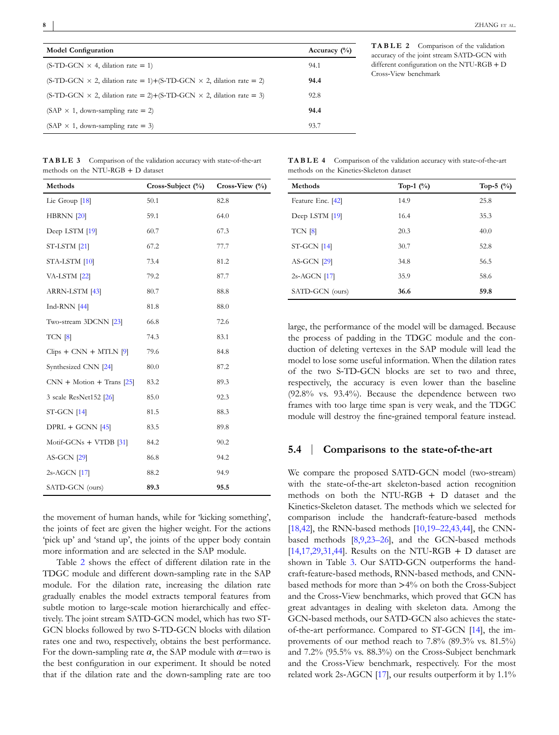<span id="page-7-0"></span>

| <b>Model Configuration</b>                                                        | Accuracy $(\%)$ |
|-----------------------------------------------------------------------------------|-----------------|
| $(S-TD-GCN \times 4, dilation rate = 1)$                                          | 94.1            |
| $(S-TD-GCN \times 2,$ dilation rate = 1)+(S-TD-GCN $\times$ 2, dilation rate = 2) | 94.4            |
| $(S-TD-GCN \times 2,$ dilation rate = 2)+(S-TD-GCN $\times$ 2, dilation rate = 3) | 92.8            |
| $(SAP \times 1, down-sampling rate = 2)$                                          | 94.4            |
| (SAP $\times$ 1, down-sampling rate = 3)                                          | 93.7            |

**TABLE 2** Comparison of the validation accuracy of the joint stream SATD‐GCN with different configuration on the NTU‐RGB + D Cross‐View benchmark

|                                      |  | <b>TABLE 3</b> Comparison of the validation accuracy with state-of-the-art |
|--------------------------------------|--|----------------------------------------------------------------------------|
| methods on the NTU-RGB $+$ D dataset |  |                                                                            |

| Methods                     | $Cross-Subject (*)$ | Cross-View (%) |
|-----------------------------|---------------------|----------------|
| Lie Group [18]              | 50.1                | 82.8           |
| <b>HBRNN</b> [20]           | 59.1                | 64.0           |
| Deep LSTM [19]              | 60.7                | 67.3           |
| ST-LSTM [21]                | 67.2                | 77.7           |
| STA-LSTM [10]               | 73.4                | 81.2           |
| VA-LSTM [22]                | 79.2                | 87.7           |
| ARRN-LSTM [43]              | 80.7                | 88.8           |
| Ind-RNN $[44]$              | 81.8                | 88.0           |
| Two-stream 3DCNN [23]       | 66.8                | 72.6           |
| $TCN$ [8]                   | 74.3                | 83.1           |
| $Clips + CNN + MTLN$ [9]    | 79.6                | 84.8           |
| Synthesized CNN [24]        | 80.0                | 87.2           |
| $CNN + Motion + Trans [25]$ | 83.2                | 89.3           |
| 3 scale ResNet152 [26]      | 85.0                | 92.3           |
| $ST-GCN$ [14]               | 81.5                | 88.3           |
| $DPRL + GCNN$ [45]          | 83.5                | 89.8           |
| Motif-GCNs $+$ VTDB [31]    | 84.2                | 90.2           |
| <b>AS-GCN</b> [29]          | 86.8                | 94.2           |
| 2s-AGCN [17]                | 88.2                | 94.9           |
| SATD-GCN (ours)             | 89.3                | 95.5           |

the movement of human hands, while for 'kicking something', the joints of feet are given the higher weight. For the actions 'pick up' and 'stand up', the joints of the upper body contain more information and are selected in the SAP module.

Table 2 shows the effect of different dilation rate in the TDGC module and different down‐sampling rate in the SAP module. For the dilation rate, increasing the dilation rate gradually enables the model extracts temporal features from subtle motion to large-scale motion hierarchically and effectively. The joint stream SATD‐GCN model, which has two ST‐ GCN blocks followed by two S‐TD‐GCN blocks with dilation rates one and two, respectively, obtains the best performance. For the down-sampling rate  $\alpha$ , the SAP module with  $\alpha$ =two is the best configuration in our experiment. It should be noted that if the dilation rate and the down‐sampling rate are too

**TABLE 4** Comparison of the validation accuracy with state‐of‐the‐art methods on the Kinetics‐Skeleton dataset

| Methods           | Top-1 $(\%)$ | Top-5 $(\% )$ |
|-------------------|--------------|---------------|
| Feature Enc. [42] | 14.9         | 25.8          |
| Deep LSTM [19]    | 16.4         | 35.3          |
| TCN [8]           | 20.3         | 40.0          |
| $ST-GCN$ [14]     | 30.7         | 52.8          |
| $AS-GCN$ [29]     | 34.8         | 56.5          |
| $2s-AGCN$ [17]    | 35.9         | 58.6          |
| SATD-GCN (ours)   | 36.6         | 59.8          |

large, the performance of the model will be damaged. Because the process of padding in the TDGC module and the conduction of deleting vertexes in the SAP module will lead the model to lose some useful information. When the dilation rates of the two S‐TD‐GCN blocks are set to two and three, respectively, the accuracy is even lower than the baseline (92.8% vs. 93.4%). Because the dependence between two frames with too large time span is very weak, and the TDGC module will destroy the fine‐grained temporal feature instead.

#### **5.4** | **Comparisons to the state‐of‐the‐art**

We compare the proposed SATD-GCN model (two-stream) with the state-of-the-art skeleton-based action recognition methods on both the NTU‐RGB + D dataset and the Kinetics‐Skeleton dataset. The methods which we selected for comparison include the handcraft-feature-based methods [[18,42](#page-8-0)], the RNN-based methods [\[10,19–22,43,44](#page-8-0)], the CNNbased methods [[8,9,23–26](#page-8-0)], and the GCN‐based methods [[14,17,29,31,44](#page-8-0)]. Results on the NTU-RGB + D dataset are shown in Table 3. Our SATD-GCN outperforms the handcraft-feature-based methods, RNN-based methods, and CNNbased methods for more than >4% on both the Cross‐Subject and the Cross‐View benchmarks, which proved that GCN has great advantages in dealing with skeleton data. Among the GCN-based methods, our SATD-GCN also achieves the stateof‐the‐art performance. Compared to ST‐GCN [[14\]](#page-8-0), the improvements of our method reach to 7.8% (89.3% vs. 81.5%) and 7.2% (95.5% vs. 88.3%) on the Cross‐Subject benchmark and the Cross‐View benchmark, respectively. For the most related work 2s‐AGCN [\[17\]](#page-8-0), our results outperform it by 1.1%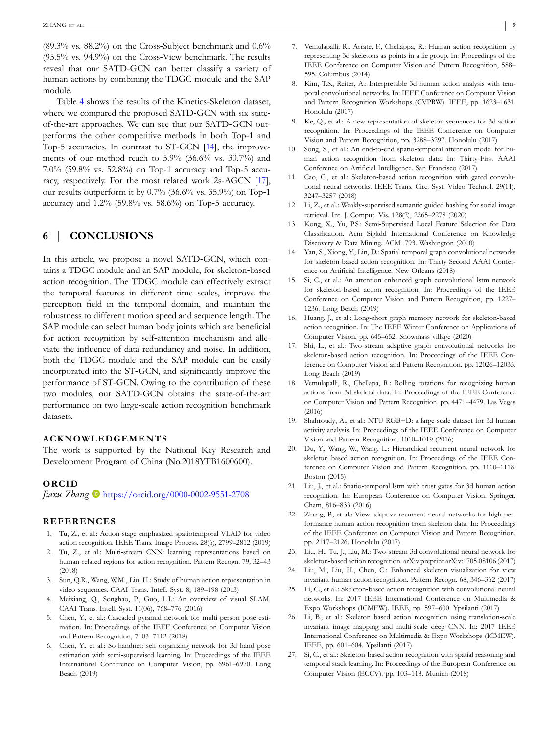<span id="page-8-0"></span>(89.3% vs. 88.2%) on the Cross‐Subject benchmark and 0.6% (95.5% vs. 94.9%) on the Cross‐View benchmark. The results reveal that our SATD‐GCN can better classify a variety of human actions by combining the TDGC module and the SAP module.

Table [4](#page-7-0) shows the results of the Kinetics‐Skeleton dataset, where we compared the proposed SATD-GCN with six stateof‐the‐art approaches. We can see that our SATD‐GCN outperforms the other competitive methods in both Top‐1 and Top-5 accuracies. In contrast to ST-GCN [14], the improvements of our method reach to 5.9% (36.6% vs. 30.7%) and 7.0% (59.8% vs. 52.8%) on Top‐1 accuracy and Top‐5 accuracy, respectively. For the most related work 2s‐AGCN [17], our results outperform it by 0.7% (36.6% vs. 35.9%) on Top‐1 accuracy and 1.2% (59.8% vs. 58.6%) on Top‐5 accuracy.

## **6** | **CONCLUSIONS**

In this article, we propose a novel SATD‐GCN, which contains a TDGC module and an SAP module, for skeleton‐based action recognition. The TDGC module can effectively extract the temporal features in different time scales, improve the perception field in the temporal domain, and maintain the robustness to different motion speed and sequence length. The SAP module can select human body joints which are beneficial for action recognition by self-attention mechanism and alleviate the influence of data redundancy and noise. In addition, both the TDGC module and the SAP module can be easily incorporated into the ST‐GCN, and significantly improve the performance of ST‐GCN. Owing to the contribution of these two modules, our SATD‐GCN obtains the state‐of‐the‐art performance on two large‐scale action recognition benchmark datasets.

#### **ACKNOWLEDGEMENTS**

The work is supported by the National Key Research and Development Program of China (No.2018YFB1600600).

#### **ORCID**

*Jiaxu Zhang* <https://orcid.org/0000-0002-9551-2708>

#### **REFERENCES**

- 1. Tu, Z., et al.: Action‐stage emphasized spatiotemporal VLAD for video action recognition. IEEE Trans. Image Process. 28(6), 2799–2812 (2019)
- 2. Tu, Z., et al.: Multi‐stream CNN: learning representations based on human‐related regions for action recognition. Pattern Recogn. 79, 32–43 (2018)
- 3. Sun, Q.R., Wang, W.M., Liu, H.: Study of human action representation in video sequences. CAAI Trans. Intell. Syst. 8, 189–198 (2013)
- 4. Meixiang, Q., Songhao, P., Guo, L.I.: An overview of visual SLAM. CAAI Trans. Intell. Syst. 11(06), 768–776 (2016)
- 5. Chen, Y., et al.: Cascaded pyramid network for multi-person pose estimation. In: Proceedings of the IEEE Conference on Computer Vision and Pattern Recognition, 7103–7112 (2018)
- 6. Chen, Y., et al.: So‐handnet: self‐organizing network for 3d hand pose estimation with semi‐supervised learning. In: Proceedings of the IEEE International Conference on Computer Vision, pp. 6961–6970. Long Beach (2019)
- 7. Vemulapalli, R., Arrate, F., Chellappa, R.: Human action recognition by representing 3d skeletons as points in a lie group. In: Proceedings of the IEEE Conference on Computer Vision and Pattern Recognition, 588– 595. Columbus (2014)
- 8. Kim, T.S., Reiter, A.: Interpretable 3d human action analysis with temporal convolutional networks. In: IEEE Conference on Computer Vision and Pattern Recognition Workshops (CVPRW). IEEE, pp. 1623–1631. Honolulu (2017)
- 9. Ke, Q., et al.: A new representation of skeleton sequences for 3d action recognition. In: Proceedings of the IEEE Conference on Computer Vision and Pattern Recognition, pp. 3288–3297. Honolulu (2017)
- 10. Song, S., et al.: An end-to-end spatio-temporal attention model for human action recognition from skeleton data. In: Thirty‐First AAAI Conference on Artificial Intelligence. San Francisco (2017)
- 11. Cao, C., et al.: Skeleton-based action recognition with gated convolutional neural networks. IEEE Trans. Circ. Syst. Video Technol. 29(11), 3247–3257 (2018)
- 12. Li, Z., et al.: Weakly-supervised semantic guided hashing for social image retrieval. Int. J. Comput. Vis. 128(2), 2265–2278 (2020)
- 13. Kong, X., Yu, P.S.: Semi‐Supervised Local Feature Selection for Data Classification. Acm Sigkdd International Conference on Knowledge Discovery & Data Mining. ACM .793. Washington (2010)
- 14. Yan, S., Xiong, Y., Lin, D.: Spatial temporal graph convolutional networks for skeleton‐based action recognition. In: Thirty‐Second AAAI Conference on Artificial Intelligence. New Orleans (2018)
- 15. Si, C., et al.: An attention enhanced graph convolutional lstm network for skeleton‐based action recognition. In: Proceedings of the IEEE Conference on Computer Vision and Pattern Recognition, pp. 1227– 1236. Long Beach (2019)
- 16. Huang, J., et al.: Long-short graph memory network for skeleton-based action recognition. In: The IEEE Winter Conference on Applications of Computer Vision, pp. 645–652. Snowmass village (2020)
- 17. Shi, L., et al.: Two-stream adaptive graph convolutional networks for skeleton-based action recognition. In: Proceedings of the IEEE Conference on Computer Vision and Pattern Recognition. pp. 12026–12035. Long Beach (2019)
- 18. Vemulapalli, R., Chellapa, R.: Rolling rotations for recognizing human actions from 3d skeletal data. In: Proceedings of the IEEE Conference on Computer Vision and Pattern Recognition. pp. 4471–4479. Las Vegas (2016)
- 19. Shahroudy, A., et al.: NTU RGB+D: a large scale dataset for 3d human activity analysis. In: Proceedings of the IEEE Conference on Computer Vision and Pattern Recognition. 1010–1019 (2016)
- 20. Du, Y., Wang, W., Wang, L.: Hierarchical recurrent neural network for skeleton based action recognition. In: Proceedings of the IEEE Conference on Computer Vision and Pattern Recognition. pp. 1110–1118. Boston (2015)
- 21. Liu, J., et al.: Spatio‐temporal lstm with trust gates for 3d human action recognition. In: European Conference on Computer Vision. Springer, Cham, 816–833 (2016)
- 22. Zhang, P., et al.: View adaptive recurrent neural networks for high performance human action recognition from skeleton data. In: Proceedings of the IEEE Conference on Computer Vision and Pattern Recognition. pp. 2117–2126. Honolulu (2017)
- 23. Liu, H., Tu, J., Liu, M.: Two‐stream 3d convolutional neural network for skeleton-based action recognition. arXiv preprint arXiv:1705.08106 (2017)
- 24. Liu, M., Liu, H., Chen, C.: Enhanced skeleton visualization for view invariant human action recognition. Pattern Recogn. 68, 346–362 (2017)
- 25. Li, C., et al.: Skeleton‐based action recognition with convolutional neural networks. In: 2017 IEEE International Conference on Multimedia & Expo Workshops (ICMEW). IEEE, pp. 597–600. Ypsilanti (2017)
- 26. Li, B., et al.: Skeleton based action recognition using translation‐scale invariant image mapping and multi‐scale deep CNN. In: 2017 IEEE International Conference on Multimedia & Expo Workshops (ICMEW). IEEE, pp. 601–604. Ypsilanti (2017)
- 27. Si, C., et al.: Skeleton‐based action recognition with spatial reasoning and temporal stack learning. In: Proceedings of the European Conference on Computer Vision (ECCV). pp. 103–118. Munich (2018)